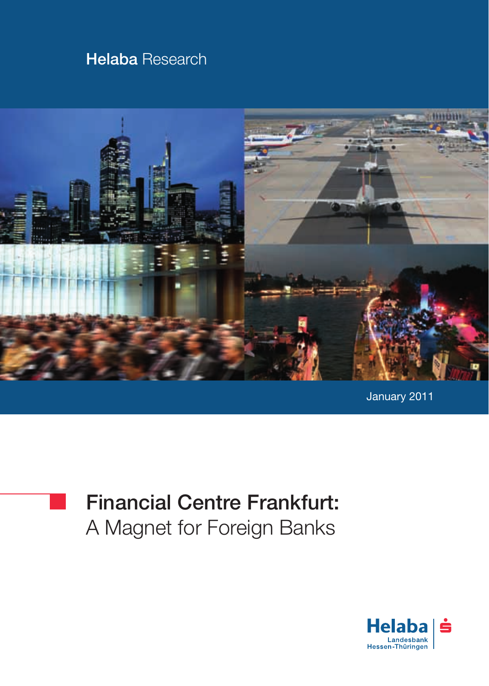## **Helaba Research**



January 2011



# Financial Centre Frankfurt: A Magnet for Foreign Banks

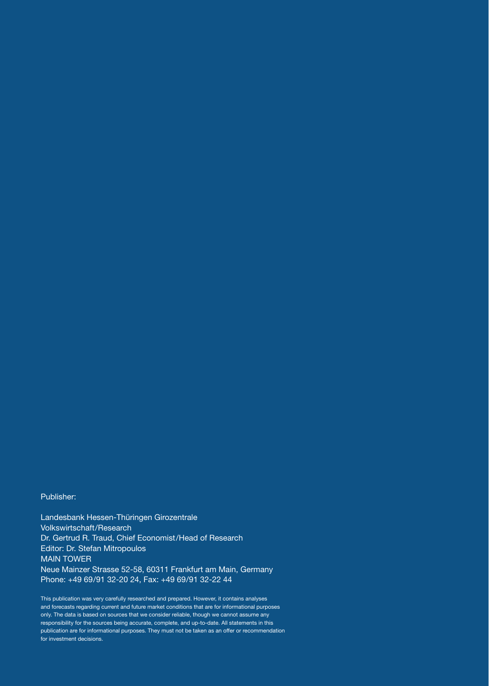#### Publisher:

Landesbank Hessen-Thüringen Girozentrale Volkswirtschaft/Research Dr. Gertrud R. Traud, Chief Economist/Head of Research Editor: Dr. Stefan Mitropoulos MAIN TOWER Neue Mainzer Strasse 52-58, 60311 Frankfurt am Main, Germany Phone: +49 69/91 32-20 24, Fax: +49 69/91 32-22 44

This publication was very carefully researched and prepared. However, it contains analyses and forecasts regarding current and future market conditions that are for informational purposes only. The data is based on sources that we consider reliable, though we cannot assume any responsibility for the sources being accurate, complete, and up-to-date. All statements in this publication are for informational purposes. They must not be taken as an offer or recommendation for investment decisions.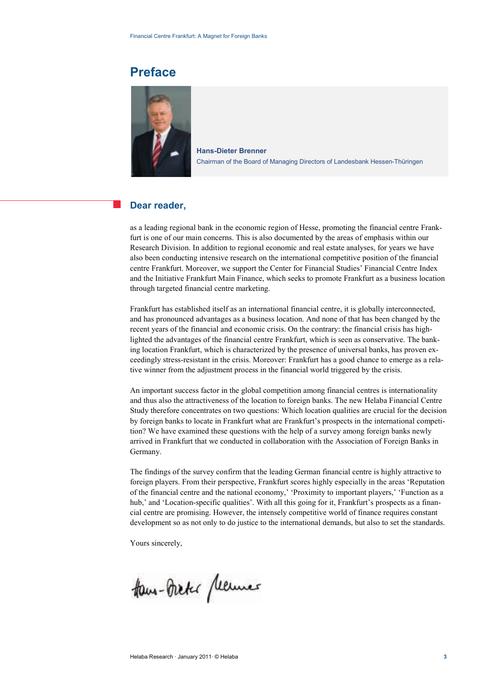### **Preface**



**Hans-Dieter Brenner**  Chairman of the Board of Managing Directors of Landesbank Hessen-Thüringen

#### **Dear reader,**

as a leading regional bank in the economic region of Hesse, promoting the financial centre Frankfurt is one of our main concerns. This is also documented by the areas of emphasis within our Research Division. In addition to regional economic and real estate analyses, for years we have also been conducting intensive research on the international competitive position of the financial centre Frankfurt. Moreover, we support the Center for Financial Studies' Financial Centre Index and the Initiative Frankfurt Main Finance, which seeks to promote Frankfurt as a business location through targeted financial centre marketing.

Frankfurt has established itself as an international financial centre, it is globally interconnected, and has pronounced advantages as a business location. And none of that has been changed by the recent years of the financial and economic crisis. On the contrary: the financial crisis has highlighted the advantages of the financial centre Frankfurt, which is seen as conservative. The banking location Frankfurt, which is characterized by the presence of universal banks, has proven exceedingly stress-resistant in the crisis. Moreover: Frankfurt has a good chance to emerge as a relative winner from the adjustment process in the financial world triggered by the crisis.

An important success factor in the global competition among financial centres is internationality and thus also the attractiveness of the location to foreign banks. The new Helaba Financial Centre Study therefore concentrates on two questions: Which location qualities are crucial for the decision by foreign banks to locate in Frankfurt what are Frankfurt's prospects in the international competition? We have examined these questions with the help of a survey among foreign banks newly arrived in Frankfurt that we conducted in collaboration with the Association of Foreign Banks in Germany.

The findings of the survey confirm that the leading German financial centre is highly attractive to foreign players. From their perspective, Frankfurt scores highly especially in the areas 'Reputation of the financial centre and the national economy,' 'Proximity to important players,' 'Function as a hub,' and 'Location-specific qualities'. With all this going for it, Frankfurt's prospects as a financial centre are promising. However, the intensely competitive world of finance requires constant development so as not only to do justice to the international demands, but also to set the standards.

Yours sincerely,

How-Oreke permes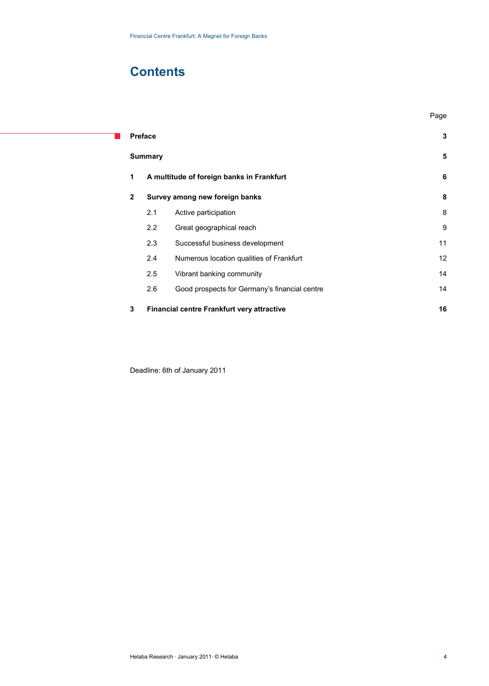## **Contents**

т

**Preface 3 Summary 5 1 A multitude of foreign banks in Frankfurt 6 2 Survey among new foreign banks 8** 2.1 Active participation 8 2.2 Great geographical reach 9 2.3 Successful business development 11 and 11 2.4 Numerous location qualities of Frankfurt 12 2.5 Vibrant banking community 14 2.6 Good prospects for Germany's financial centre 14 **3 Financial centre Frankfurt very attractive 16**

n de la participa de la participa de la participa de la participa de la participa de la participa de la partic

Deadline: 6th of January 2011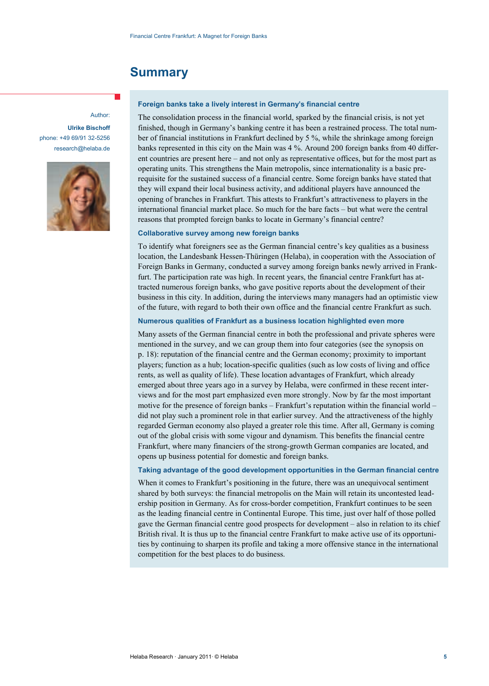### **Summary**

#### Author:

**Ulrike Bischoff** phone: +49 69/91 32-5256 research@helaba.de



#### **Foreign banks take a lively interest in Germany's financial centre**

The consolidation process in the financial world, sparked by the financial crisis, is not yet finished, though in Germany's banking centre it has been a restrained process. The total number of financial institutions in Frankfurt declined by 5 %, while the shrinkage among foreign banks represented in this city on the Main was 4 %. Around 200 foreign banks from 40 different countries are present here – and not only as representative offices, but for the most part as operating units. This strengthens the Main metropolis, since internationality is a basic prerequisite for the sustained success of a financial centre. Some foreign banks have stated that they will expand their local business activity, and additional players have announced the opening of branches in Frankfurt. This attests to Frankfurt's attractiveness to players in the international financial market place. So much for the bare facts – but what were the central reasons that prompted foreign banks to locate in Germany's financial centre?

#### **Collaborative survey among new foreign banks**

To identify what foreigners see as the German financial centre's key qualities as a business location, the Landesbank Hessen-Thüringen (Helaba), in cooperation with the Association of Foreign Banks in Germany, conducted a survey among foreign banks newly arrived in Frankfurt. The participation rate was high. In recent years, the financial centre Frankfurt has attracted numerous foreign banks, who gave positive reports about the development of their business in this city. In addition, during the interviews many managers had an optimistic view of the future, with regard to both their own office and the financial centre Frankfurt as such.

#### **Numerous qualities of Frankfurt as a business location highlighted even more**

Many assets of the German financial centre in both the professional and private spheres were mentioned in the survey, and we can group them into four categories (see the synopsis on p. 18): reputation of the financial centre and the German economy; proximity to important players; function as a hub; location-specific qualities (such as low costs of living and office rents, as well as quality of life). These location advantages of Frankfurt, which already emerged about three years ago in a survey by Helaba, were confirmed in these recent interviews and for the most part emphasized even more strongly. Now by far the most important motive for the presence of foreign banks – Frankfurt's reputation within the financial world – did not play such a prominent role in that earlier survey. And the attractiveness of the highly regarded German economy also played a greater role this time. After all, Germany is coming out of the global crisis with some vigour and dynamism. This benefits the financial centre Frankfurt, where many financiers of the strong-growth German companies are located, and opens up business potential for domestic and foreign banks.

#### **Taking advantage of the good development opportunities in the German financial centre**

When it comes to Frankfurt's positioning in the future, there was an unequivocal sentiment shared by both surveys: the financial metropolis on the Main will retain its uncontested leadership position in Germany. As for cross-border competition, Frankfurt continues to be seen as the leading financial centre in Continental Europe. This time, just over half of those polled gave the German financial centre good prospects for development – also in relation to its chief British rival. It is thus up to the financial centre Frankfurt to make active use of its opportunities by continuing to sharpen its profile and taking a more offensive stance in the international competition for the best places to do business.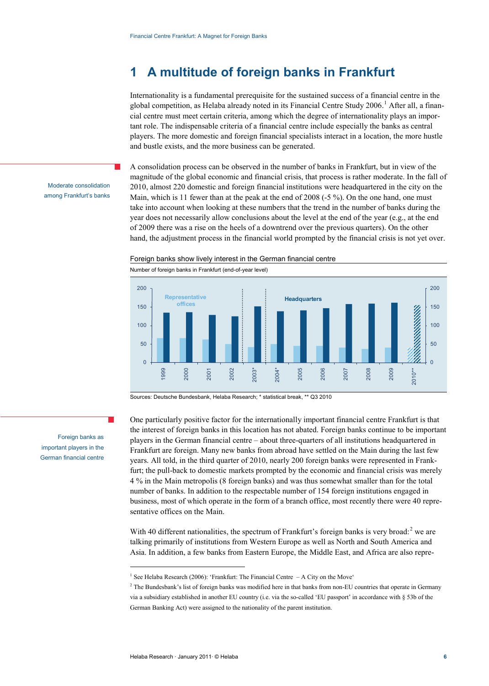### **1 A multitude of foreign banks in Frankfurt**

Internationality is a fundamental prerequisite for the sustained success of a financial centre in the global competition, as Helaba already noted in its Financial Centre Study 2006. <sup>1</sup> After all, a financial centre must meet certain criteria, among which the degree of internationality plays an important role. The indispensable criteria of a financial centre include especially the banks as central players. The more domestic and foreign financial specialists interact in a location, the more hustle and bustle exists, and the more business can be generated.

Moderate consolidation among Frankfurt's banks A consolidation process can be observed in the number of banks in Frankfurt, but in view of the magnitude of the global economic and financial crisis, that process is rather moderate. In the fall of 2010, almost 220 domestic and foreign financial institutions were headquartered in the city on the Main, which is 11 fewer than at the peak at the end of 2008 (-5 %). On the one hand, one must take into account when looking at these numbers that the trend in the number of banks during the year does not necessarily allow conclusions about the level at the end of the year (e.g., at the end of 2009 there was a rise on the heels of a downtrend over the previous quarters). On the other hand, the adjustment process in the financial world prompted by the financial crisis is not yet over.





Sources: Deutsche Bundesbank, Helaba Research; \* statistical break, \*\* Q3 2010

One particularly positive factor for the internationally important financial centre Frankfurt is that the interest of foreign banks in this location has not abated. Foreign banks continue to be important players in the German financial centre – about three-quarters of all institutions headquartered in Frankfurt are foreign. Many new banks from abroad have settled on the Main during the last few years. All told, in the third quarter of 2010, nearly 200 foreign banks were represented in Frankfurt; the pull-back to domestic markets prompted by the economic and financial crisis was merely 4 % in the Main metropolis (8 foreign banks) and was thus somewhat smaller than for the total number of banks. In addition to the respectable number of 154 foreign institutions engaged in business, most of which operate in the form of a branch office, most recently there were 40 representative offices on the Main.

With 40 different nationalities, the spectrum of Frankfurt's foreign banks is very broad:<sup>2</sup> we are talking primarily of institutions from Western Europe as well as North and South America and Asia. In addition, a few banks from Eastern Europe, the Middle East, and Africa are also repre-

Foreign banks as important players in the German financial centre

 $\overline{a}$ 

<sup>&</sup>lt;sup>1</sup> See Helaba Research (2006): 'Frankfurt: The Financial Centre  $-A$  City on the Move'

<sup>&</sup>lt;sup>2</sup> The Bundesbank's list of foreign banks was modified here in that banks from non-EU countries that operate in Germany via a subsidiary established in another EU country (i.e. via the so-called 'EU passport' in accordance with § 53b of the German Banking Act) were assigned to the nationality of the parent institution.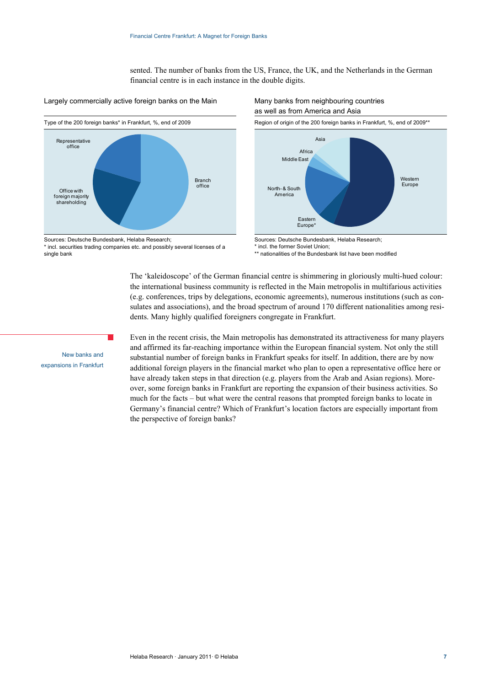sented. The number of banks from the US, France, the UK, and the Netherlands in the German financial centre is in each instance in the double digits.





Sources: Deutsche Bundesbank, Helaba Research; \* incl. securities trading companies etc. and possibly several licenses of a single bank

p.

## as well as from America and Asia



Sources: Deutsche Bundesbank, Helaba Research;

\* incl. the former Soviet Union;

\*\* nationalities of the Bundesbank list have been modified

The 'kaleidoscope' of the German financial centre is shimmering in gloriously multi-hued colour: the international business community is reflected in the Main metropolis in multifarious activities (e.g. conferences, trips by delegations, economic agreements), numerous institutions (such as consulates and associations), and the broad spectrum of around 170 different nationalities among residents. Many highly qualified foreigners congregate in Frankfurt.

Even in the recent crisis, the Main metropolis has demonstrated its attractiveness for many players and affirmed its far-reaching importance within the European financial system. Not only the still substantial number of foreign banks in Frankfurt speaks for itself. In addition, there are by now additional foreign players in the financial market who plan to open a representative office here or have already taken steps in that direction (e.g. players from the Arab and Asian regions). Moreover, some foreign banks in Frankfurt are reporting the expansion of their business activities. So much for the facts – but what were the central reasons that prompted foreign banks to locate in Germany's financial centre? Which of Frankfurt's location factors are especially important from the perspective of foreign banks?

New banks and expansions in Frankfurt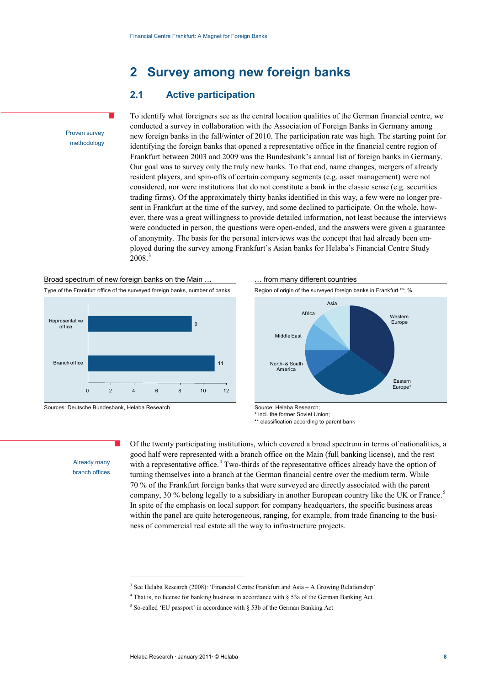### **2 Survey among new foreign banks**

### **2.1 Active participation**

To identify what foreigners see as the central location qualities of the German financial centre, we conducted a survey in collaboration with the Association of Foreign Banks in Germany among new foreign banks in the fall/winter of 2010. The participation rate was high. The starting point for identifying the foreign banks that opened a representative office in the financial centre region of Frankfurt between 2003 and 2009 was the Bundesbank's annual list of foreign banks in Germany. Our goal was to survey only the truly new banks. To that end, name changes, mergers of already resident players, and spin-offs of certain company segments (e.g. asset management) were not considered, nor were institutions that do not constitute a bank in the classic sense (e.g. securities trading firms). Of the approximately thirty banks identified in this way, a few were no longer present in Frankfurt at the time of the survey, and some declined to participate. On the whole, however, there was a great willingness to provide detailed information, not least because the interviews were conducted in person, the questions were open-ended, and the answers were given a guarantee of anonymity. The basis for the personal interviews was the concept that had already been employed during the survey among Frankfurt's Asian banks for Helaba's Financial Centre Study 2008.<sup>3</sup>





 $\overline{a}$ 

Sources: Deutsche Bundesbank, Helaba Research Source: Helaba Research;



\* incl. the former Soviet Union;

\*\* classification according to parent bank

Already many branch offices

Proven survey methodology

> Of the twenty participating institutions, which covered a broad spectrum in terms of nationalities, a good half were represented with a branch office on the Main (full banking license), and the rest with a representative office.<sup>4</sup> Two-thirds of the representative offices already have the option of 70 % of the Frankfurt foreign banks that were surveyed are directly associated with the parent company, 30 % belong legally to a subsidiary in another European country like the UK or France.<sup>5</sup> turning themselves into a branch at the German financial centre over the medium term. While In spite of the emphasis on local support for company headquarters, the specific business areas within the panel are quite heterogeneous, ranging, for example, from trade financing to the business of commercial real estate all the way to infrastructure projects.

<sup>&</sup>lt;sup>3</sup> See Helaba Research (2008): 'Financial Centre Frankfurt and Asia – A Growing Relationship'

<sup>4</sup> That is, no license for banking business in accordance with § 53a of the German Banking Act.

<sup>&</sup>lt;sup>5</sup> So-called 'EU passport' in accordance with § 53b of the German Banking Act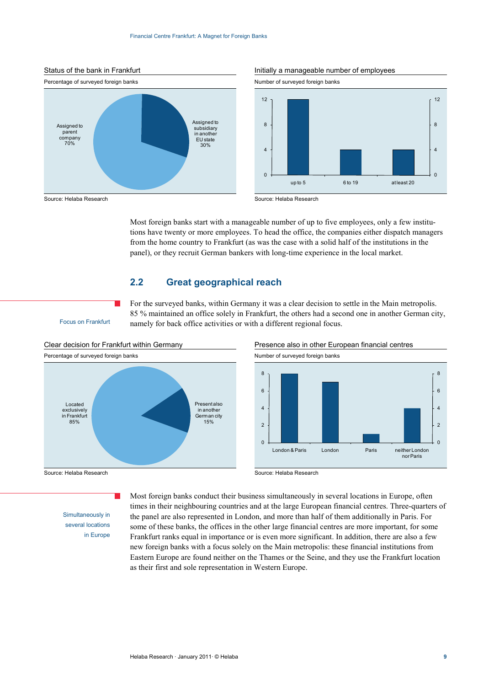

#### Status of the bank in Frankfurt **Initially a manageable number of employees**



Most foreign banks start with a manageable number of up to five employees, only a few institutions have twenty or more employees. To head the office, the companies either dispatch managers from the home country to Frankfurt (as was the case with a solid half of the institutions in the panel), or they recruit German bankers with long-time experience in the local market.

For the surveyed banks, within Germany it was a clear decision to settle in the Main metropolis. 85 % maintained an office solely in Frankfurt, the others had a second one in another German city,

#### **2.2 Great geographical reach**

namely for back office activities or with a different regional focus.

Focus on Frankfurt





Source: Helaba Research **Source: Helaba Research** Source: Helaba Research

Simultaneously in

several locations in Europe Most foreign banks conduct their business simultaneously in several locations in Europe, often times in their neighbouring countries and at the large European financial centres. Three-quarters of the panel are also represented in London, and more than half of them additionally in Paris. For some of these banks, the offices in the other large financial centres are more important, for some Frankfurt ranks equal in importance or is even more significant. In addition, there are also a few new foreign banks with a focus solely on the Main metropolis: these financial institutions from Eastern Europe are found neither on the Thames or the Seine, and they use the Frankfurt location as their first and sole representation in Western Europe.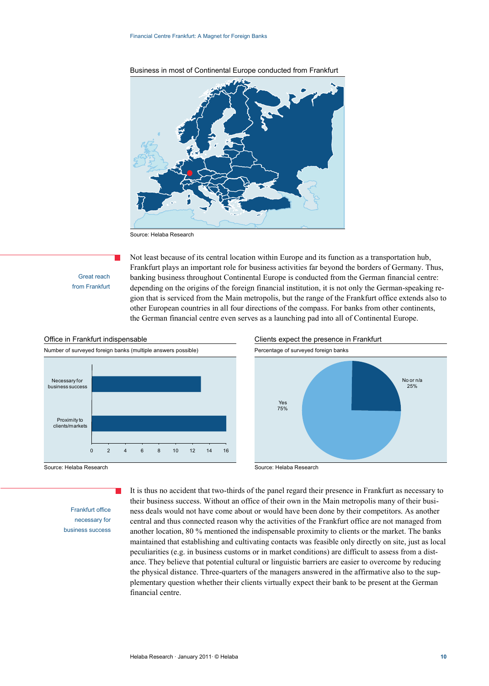

Business in most of Continental Europe conducted from Frankfurt

Source: Helaba Research

Great reach from Frankfurt Not least because of its central location within Europe and its function as a transportation hub, Frankfurt plays an important role for business activities far beyond the borders of Germany. Thus, banking business throughout Continental Europe is conducted from the German financial centre: depending on the origins of the foreign financial institution, it is not only the German-speaking region that is serviced from the Main metropolis, but the range of the Frankfurt office extends also to other European countries in all four directions of the compass. For banks from other continents, the German financial centre even serves as a launching pad into all of Continental Europe.



Frankfurt office necessary for business success





Source: Helaba Research Source: Helaba Research

It is thus no accident that two-thirds of the panel regard their presence in Frankfurt as necessary to their business success. Without an office of their own in the Main metropolis many of their business deals would not have come about or would have been done by their competitors. As another central and thus connected reason why the activities of the Frankfurt office are not managed from another location, 80 % mentioned the indispensable proximity to clients or the market. The banks maintained that establishing and cultivating contacts was feasible only directly on site, just as local peculiarities (e.g. in business customs or in market conditions) are difficult to assess from a distance. They believe that potential cultural or linguistic barriers are easier to overcome by reducing the physical distance. Three-quarters of the managers answered in the affirmative also to the supplementary question whether their clients virtually expect their bank to be present at the German financial centre.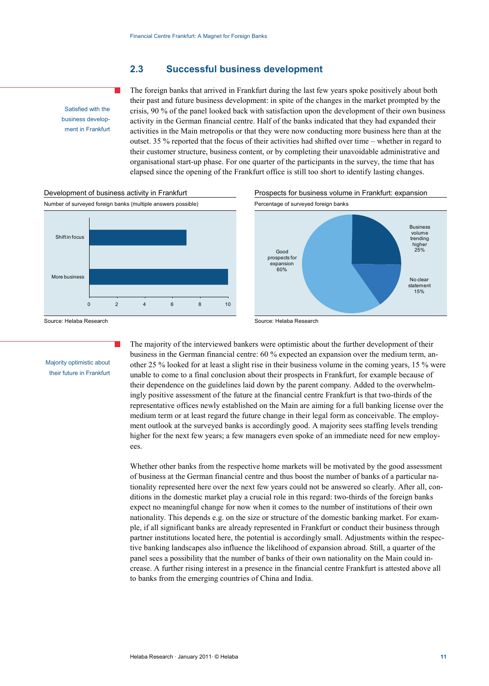#### **2.3 Successful business development**

Satisfied with the business development in Frankfurt The foreign banks that arrived in Frankfurt during the last few years spoke positively about both their past and future business development: in spite of the changes in the market prompted by the crisis, 90 % of the panel looked back with satisfaction upon the development of their own business activity in the German financial centre. Half of the banks indicated that they had expanded their activities in the Main metropolis or that they were now conducting more business here than at the outset. 35 % reported that the focus of their activities had shifted over time – whether in regard to their customer structure, business content, or by completing their unavoidable administrative and organisational start-up phase. For one quarter of the participants in the survey, the time that has elapsed since the opening of the Frankfurt office is still too short to identify lasting changes.







Source: Helaba Research Source: Helaba Research Source: Helaba Research

#### Majority optimistic about their future in Frankfurt

The majority of the interviewed bankers were optimistic about the further development of their business in the German financial centre: 60 % expected an expansion over the medium term, another 25 % looked for at least a slight rise in their business volume in the coming years, 15 % were unable to come to a final conclusion about their prospects in Frankfurt, for example because of their dependence on the guidelines laid down by the parent company. Added to the overwhelmingly positive assessment of the future at the financial centre Frankfurt is that two-thirds of the representative offices newly established on the Main are aiming for a full banking license over the medium term or at least regard the future change in their legal form as conceivable. The employment outlook at the surveyed banks is accordingly good. A majority sees staffing levels trending higher for the next few years; a few managers even spoke of an immediate need for new employees.

Whether other banks from the respective home markets will be motivated by the good assessment of business at the German financial centre and thus boost the number of banks of a particular nationality represented here over the next few years could not be answered so clearly. After all, conditions in the domestic market play a crucial role in this regard: two-thirds of the foreign banks expect no meaningful change for now when it comes to the number of institutions of their own nationality. This depends e.g. on the size or structure of the domestic banking market. For example, if all significant banks are already represented in Frankfurt or conduct their business through partner institutions located here, the potential is accordingly small. Adjustments within the respective banking landscapes also influence the likelihood of expansion abroad. Still, a quarter of the panel sees a possibility that the number of banks of their own nationality on the Main could increase. A further rising interest in a presence in the financial centre Frankfurt is attested above all to banks from the emerging countries of China and India.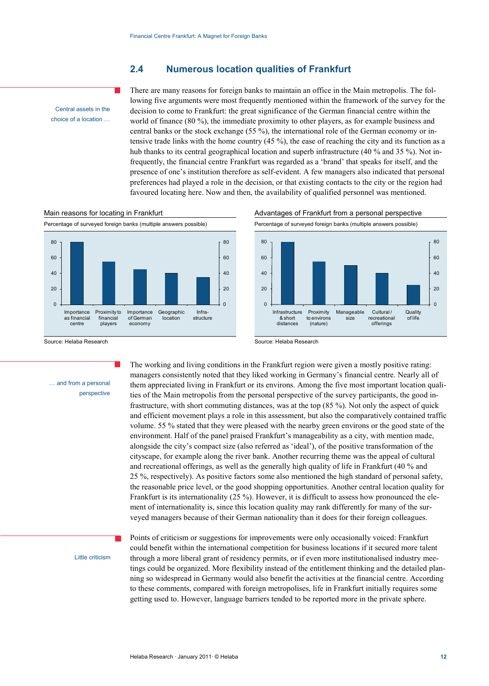#### **2.4 Numerous location qualities of Frankfurt**

Central assets in the choice of a location … There are many reasons for foreign banks to maintain an office in the Main metropolis. The following five arguments were most frequently mentioned within the framework of the survey for the decision to come to Frankfurt: the great significance of the German financial centre within the world of finance (80 %), the immediate proximity to other players, as for example business and central banks or the stock exchange (55 %), the international role of the German economy or intensive trade links with the home country  $(45\%)$ , the ease of reaching the city and its function as a hub thanks to its central geographical location and superb infrastructure (40 % and 35 %). Not infrequently, the financial centre Frankfurt was regarded as a 'brand' that speaks for itself, and the presence of one's institution therefore as self-evident. A few managers also indicated that personal preferences had played a role in the decision, or that existing contacts to the city or the region had favoured locating here. Now and then, the availability of qualified personnel was mentioned.



#### Main reasons for locating in Frankfurt Advantages of Frankfurt from a personal perspective



Source: Helaba Research Source: Helaba Research

The working and living conditions in the Frankfurt region were given a mostly positive rating: managers consistently noted that they liked working in Germany's financial centre. Nearly all of them appreciated living in Frankfurt or its environs. Among the five most important location qualities of the Main metropolis from the personal perspective of the survey participants, the good infrastructure, with short commuting distances, was at the top (85 %). Not only the aspect of quick and efficient movement plays a role in this assessment, but also the comparatively contained traffic volume. 55 % stated that they were pleased with the nearby green environs or the good state of the environment. Half of the panel praised Frankfurt's manageability as a city, with mention made, alongside the city's compact size (also referred as 'ideal'), of the positive transformation of the cityscape, for example along the river bank. Another recurring theme was the appeal of cultural and recreational offerings, as well as the generally high quality of life in Frankfurt (40 % and 25 %, respectively). As positive factors some also mentioned the high standard of personal safety, the reasonable price level, or the good shopping opportunities. Another central location quality for Frankfurt is its internationality (25 %). However, it is difficult to assess how pronounced the element of internationality is, since this location quality may rank differently for many of the surveyed managers because of their German nationality than it does for their foreign colleagues.

Little criticism

… and from a personal

perspective

Points of criticism or suggestions for improvements were only occasionally voiced: Frankfurt could benefit within the international competition for business locations if it secured more talent through a more liberal grant of residency permits, or if even more institutionalised industry meetings could be organized. More flexibility instead of the entitlement thinking and the detailed planning so widespread in Germany would also benefit the activities at the financial centre. According to these comments, compared with foreign metropolises, life in Frankfurt initially requires some getting used to. However, language barriers tended to be reported more in the private sphere.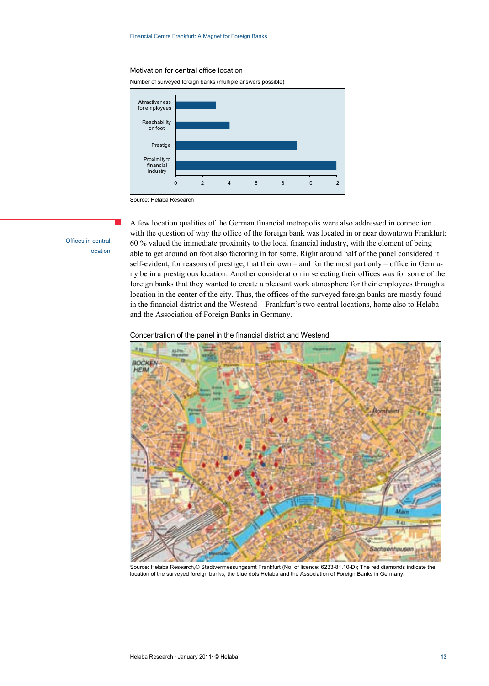#### Motivation for central office location



Source: Helaba Research

Offices in central location A few location qualities of the German financial metropolis were also addressed in connection with the question of why the office of the foreign bank was located in or near downtown Frankfurt: 60 % valued the immediate proximity to the local financial industry, with the element of being able to get around on foot also factoring in for some. Right around half of the panel considered it self-evident, for reasons of prestige, that their own – and for the most part only – office in Germany be in a prestigious location. Another consideration in selecting their offices was for some of the foreign banks that they wanted to create a pleasant work atmosphere for their employees through a location in the center of the city. Thus, the offices of the surveyed foreign banks are mostly found in the financial district and the Westend – Frankfurt's two central locations, home also to Helaba and the Association of Foreign Banks in Germany.

#### Concentration of the panel in the financial district and Westend



Source: Helaba Research,© Stadtvermessungsamt Frankfurt (No. of licence: 6233-81.10-D); The red diamonds indicate the location of the surveyed foreign banks, the blue dots Helaba and the Association of Foreign Banks in Germany.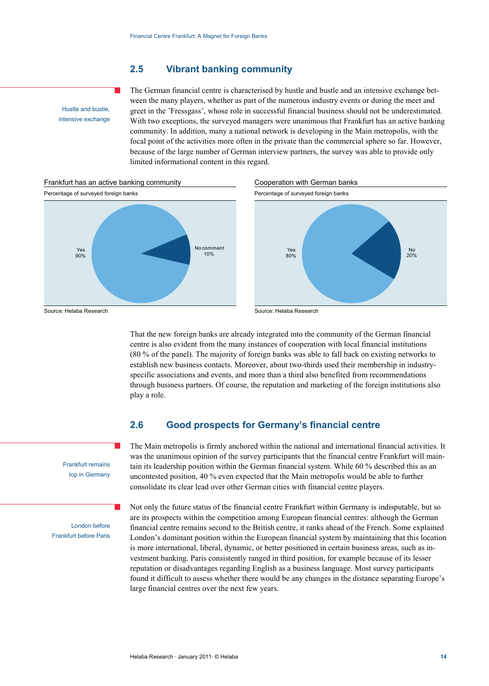#### **2.5 Vibrant banking community**

Hustle and bustle, intensive exchange The German financial centre is characterised by hustle and bustle and an intensive exchange between the many players, whether as part of the numerous industry events or during the meet and greet in the 'Fressgass', whose role in successful financial business should not be underestimated. With two exceptions, the surveyed managers were unanimous that Frankfurt has an active banking community. In addition, many a national network is developing in the Main metropolis, with the focal point of the activities more often in the private than the commercial sphere so far. However, because of the large number of German interview partners, the survey was able to provide only limited informational content in this regard.



That the new foreign banks are already integrated into the community of the German financial centre is also evident from the many instances of cooperation with local financial institutions (80 % of the panel). The majority of foreign banks was able to fall back on existing networks to establish new business contacts. Moreover, about two-thirds used their membership in industryspecific associations and events, and more than a third also benefited from recommendations through business partners. Of course, the reputation and marketing of the foreign institutions also play a role.

#### **2.6 Good prospects for Germany's financial centre**

The Main metropolis is firmly anchored within the national and international financial activities. It was the unanimous opinion of the survey participants that the financial centre Frankfurt will maintain its leadership position within the German financial system. While 60 % described this as an uncontested position, 40 % even expected that the Main metropolis would be able to further consolidate its clear lead over other German cities with financial centre players.

London before Frankfurt before Paris Not only the future status of the financial centre Frankfurt within Germany is indisputable, but so are its prospects within the competition among European financial centres: although the German financial centre remains second to the British centre, it ranks ahead of the French. Some explained London's dominant position within the European financial system by maintaining that this location is more international, liberal, dynamic, or better positioned in certain business areas, such as investment banking. Paris consistently ranged in third position, for example because of its lesser reputation or disadvantages regarding English as a business language. Most survey participants found it difficult to assess whether there would be any changes in the distance separating Europe's large financial centres over the next few years.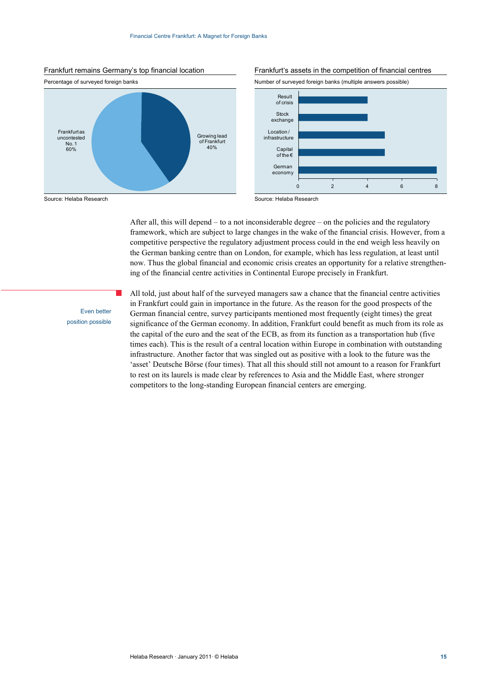









After all, this will depend – to a not inconsiderable degree – on the policies and the regulatory framework, which are subject to large changes in the wake of the financial crisis. However, from a competitive perspective the regulatory adjustment process could in the end weigh less heavily on the German banking centre than on London, for example, which has less regulation, at least until now. Thus the global financial and economic crisis creates an opportunity for a relative strengthening of the financial centre activities in Continental Europe precisely in Frankfurt.

Even better position possible

All told, just about half of the surveyed managers saw a chance that the financial centre activities in Frankfurt could gain in importance in the future. As the reason for the good prospects of the German financial centre, survey participants mentioned most frequently (eight times) the great significance of the German economy. In addition, Frankfurt could benefit as much from its role as the capital of the euro and the seat of the ECB, as from its function as a transportation hub (five times each). This is the result of a central location within Europe in combination with outstanding infrastructure. Another factor that was singled out as positive with a look to the future was the 'asset' Deutsche Börse (four times). That all this should still not amount to a reason for Frankfurt to rest on its laurels is made clear by references to Asia and the Middle East, where stronger competitors to the long-standing European financial centers are emerging.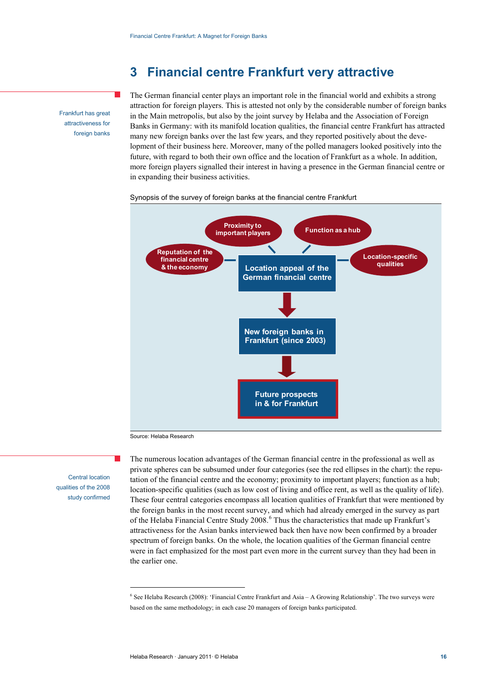### **3 Financial centre Frankfurt very attractive**

Frankfurt has great attractiveness for foreign banks The German financial center plays an important role in the financial world and exhibits a strong attraction for foreign players. This is attested not only by the considerable number of foreign banks in the Main metropolis, but also by the joint survey by Helaba and the Association of Foreign Banks in Germany: with its manifold location qualities, the financial centre Frankfurt has attracted many new foreign banks over the last few years, and they reported positively about the development of their business here. Moreover, many of the polled managers looked positively into the future, with regard to both their own office and the location of Frankfurt as a whole. In addition, more foreign players signalled their interest in having a presence in the German financial centre or in expanding their business activities.

#### Synopsis of the survey of foreign banks at the financial centre Frankfurt



Source: Helaba Research

 $\overline{a}$ 

Central location qualities of the 2008 study confirmed The numerous location advantages of the German financial centre in the professional as well as private spheres can be subsumed under four categories (see the red ellipses in the chart): the reputation of the financial centre and the economy; proximity to important players; function as a hub; location-specific qualities (such as low cost of living and office rent, as well as the quality of life). These four central categories encompass all location qualities of Frankfurt that were mentioned by the foreign banks in the most recent survey, and which had already emerged in the survey as part of the Helaba Financial Centre Study 2008.<sup>6</sup> Thus the characteristics that made up Frankfurt's attractiveness for the Asian banks interviewed back then have now been confirmed by a broader spectrum of foreign banks. On the whole, the location qualities of the German financial centre were in fact emphasized for the most part even more in the current survey than they had been in the earlier one.

<sup>6</sup> See Helaba Research (2008): 'Financial Centre Frankfurt and Asia – A Growing Relationship'. The two surveys were based on the same methodology; in each case 20 managers of foreign banks participated.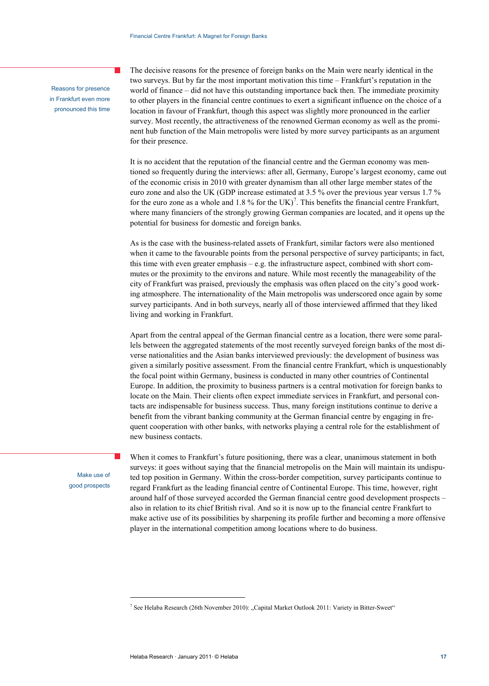Reasons for presence in Frankfurt even more pronounced this time The decisive reasons for the presence of foreign banks on the Main were nearly identical in the two surveys. But by far the most important motivation this time – Frankfurt's reputation in the world of finance – did not have this outstanding importance back then. The immediate proximity to other players in the financial centre continues to exert a significant influence on the choice of a location in favour of Frankfurt, though this aspect was slightly more pronounced in the earlier survey. Most recently, the attractiveness of the renowned German economy as well as the prominent hub function of the Main metropolis were listed by more survey participants as an argument for their presence.

It is no accident that the reputation of the financial centre and the German economy was mentioned so frequently during the interviews: after all, Germany, Europe's largest economy, came out of the economic crisis in 2010 with greater dynamism than all other large member states of the euro zone and also the UK (GDP increase estimated at 3.5 % over the previous year versus 1.7 % for the euro zone as a whole and 1.8 % for the UK)<sup>7</sup>. This benefits the financial centre Frankfurt, where many financiers of the strongly growing German companies are located, and it opens up the potential for business for domestic and foreign banks.

As is the case with the business-related assets of Frankfurt, similar factors were also mentioned when it came to the favourable points from the personal perspective of survey participants; in fact, this time with even greater emphasis  $-$  e.g. the infrastructure aspect, combined with short commutes or the proximity to the environs and nature. While most recently the manageability of the city of Frankfurt was praised, previously the emphasis was often placed on the city's good working atmosphere. The internationality of the Main metropolis was underscored once again by some survey participants. And in both surveys, nearly all of those interviewed affirmed that they liked living and working in Frankfurt.

Apart from the central appeal of the German financial centre as a location, there were some parallels between the aggregated statements of the most recently surveyed foreign banks of the most diverse nationalities and the Asian banks interviewed previously: the development of business was given a similarly positive assessment. From the financial centre Frankfurt, which is unquestionably the focal point within Germany, business is conducted in many other countries of Continental Europe. In addition, the proximity to business partners is a central motivation for foreign banks to locate on the Main. Their clients often expect immediate services in Frankfurt, and personal contacts are indispensable for business success. Thus, many foreign institutions continue to derive a benefit from the vibrant banking community at the German financial centre by engaging in frequent cooperation with other banks, with networks playing a central role for the establishment of new business contacts.

Make use of good prospects

 $\overline{a}$ 

When it comes to Frankfurt's future positioning, there was a clear, unanimous statement in both surveys: it goes without saying that the financial metropolis on the Main will maintain its undisputed top position in Germany. Within the cross-border competition, survey participants continue to regard Frankfurt as the leading financial centre of Continental Europe. This time, however, right around half of those surveyed accorded the German financial centre good development prospects – also in relation to its chief British rival. And so it is now up to the financial centre Frankfurt to make active use of its possibilities by sharpening its profile further and becoming a more offensive player in the international competition among locations where to do business.

<sup>&</sup>lt;sup>7</sup> See Helaba Research (26th November 2010): "Capital Market Outlook 2011: Variety in Bitter-Sweet"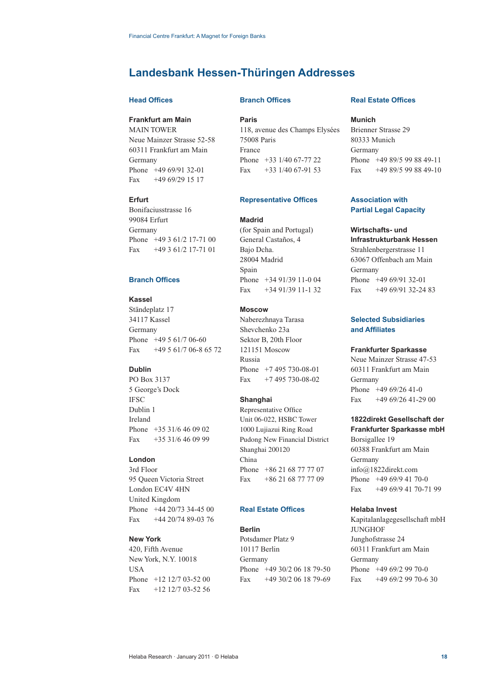### **Landesbank Hessen-Thüringen Addresses**

#### **Head Offices**

#### **Frankfurt am Main**

MAIN TOWER Neue Mainzer Strasse 52-58 60311 Frankfurt am Main Germany Phone +49 69/91 32-01 Fax +49 69/29 15 17

#### **Erfurt**

Bonifaciusstrasse 16 99084 Erfurt Germany Phone +49 3 61/2 17-71 00 Fax +49 3 61/2 17-71 01

#### **Branch Offices**

#### **Kassel**

Ständeplatz 17 34117 Kassel Germany Phone +49 5 61/7 06-60 Fax +49 5 61/7 06-8 65 72

#### **Dublin**

PO Box 3137 5 George's Dock IFSC Dublin 1 Ireland Phone +35 31/6 46 09 02 Fax +35 31/6 46 09 99

#### **London**

3rd Floor 95 Queen Victoria Street London EC4V 4HN United Kingdom Phone +44 20/73 34-45 00 Fax +44 20/74 89-03 76

#### **New York**

420, Fifth Avenue New York, N.Y. 10018 USA Phone +12 12/7 03-52 00 Fax +12 12/7 03-52 56

#### **Branch Offices**

**Paris**

118, avenue des Champs Elysées 75008 Paris France Phone +33 1/40 67-77 22 Fax  $+33$  1/40 67-91 53

#### **Representative Offices**

#### **Madrid**

(for Spain and Portugal) General Castaños, 4 Bajo Dcha. 28004 Madrid Spain Phone +34 91/39 11-0 04 Fax +34 91/39 11-1 32

#### **Moscow**

Naberezhnaya Tarasa Shevchenko 23a Sektor B, 20th Floor 121151 Moscow Russia Phone +7 495 730-08-01 Fax +7 495 730-08-02

#### **Shanghai**

Representative Office Unit 06-022, HSBC Tower 1000 Lujiazui Ring Road Pudong New Financial District Shanghai 200120 China Phone +86 21 68 77 77 07 Fax +86 21 68 77 77 09

#### **Real Estate Offices**

#### **Berlin**

Potsdamer Platz 9 10117 Berlin Germany Phone +49 30/2 06 18 79-50 Fax +49 30/2 06 18 79-69

#### **Real Estate Offices**

#### **Munich**

Brienner Strasse 29 80333 Munich Germany Phone +49 89/5 99 88 49-11 Fax +49 89/5 99 88 49-10

#### **Association with Partial Legal Capacity**

#### **Wirtschafts- und**

**Infrastrukturbank Hessen** Strahlenbergerstrasse 11 63067 Offenbach am Main Germany Phone +49 69/91 32-01 Fax +49 69/91 32-24 83

#### **Selected Subsidiaries and Affiliates**

#### **Frankfurter Sparkasse**

Neue Mainzer Strasse 47-53 60311 Frankfurt am Main Germany Phone +49 69/26 41-0 Fax +49 69/26 41-29 00

#### **1822direkt Gesellschaft der Frankfurter Sparkasse mbH**

Borsigallee 19 60388 Frankfurt am Main Germany info@1822direkt.com Phone +49 69/9 41 70-0 Fax +49 69/9 41 70-71 99

#### **Helaba Invest**

Kapitalanlagegesellschaft mbH **JUNGHOF** Junghofstrasse 24 60311 Frankfurt am Main Germany Phone +49 69/2 99 70-0 Fax +49 69/2 99 70-6 30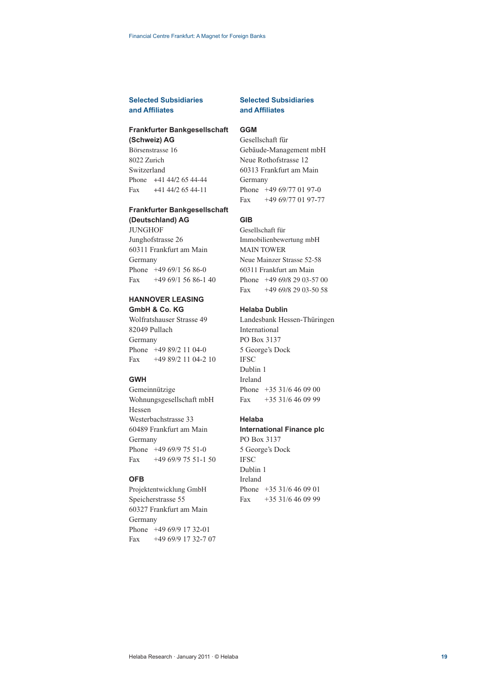#### **Selected Subsidiaries and Affi liates**

#### **Frankfurter Bankgesellschaft**

**(Schweiz) AG** Börsenstrasse 16 8022 Zurich Switzerland Phone +41 44/2 65 44-44 Fax +41 44/2 65 44-11

#### **Frankfurter Bankgesellschaft**

**(Deutschland) AG** JUNGHOF Junghofstrasse 26 60311 Frankfurt am Main Germany Phone +49 69/1 56 86-0 Fax  $+4969/15686-140$ 

### **HANNOVER LEASING**

**GmbH & Co. KG** Wolfratshauser Strasse 49 82049 Pullach Germany Phone +49 89/2 11 04-0 Fax  $+4989/21104-210$ 

#### **GWH**

Gemeinnützige Wohnungsgesellschaft mbH Hessen Westerbachstrasse 33 60489 Frankfurt am Main Germany Phone +49 69/9 75 51-0 Fax +49 69/9 75 51-1 50

#### **OFB**

Projektentwicklung GmbH Speicherstrasse 55 60327 Frankfurt am Main Germany Phone +49 69/9 17 32-01 Fax +49 69/9 17 32-7 07

#### **Selected Subsidiaries and Affiliates**

#### **GGM**

Gesellschaft für Gebäude-Management mbH Neue Rothofstrasse 12 60313 Frankfurt am Main Germany Phone +49 69/77 01 97-0 Fax +49 69/77 01 97-77

#### **GIB**

Gesellschaft für Immobilienbewertung mbH MAIN TOWER Neue Mainzer Strasse 52-58 60311 Frankfurt am Main Phone +49 69/8 29 03-57 00 Fax +49 69/8 29 03-50 58

#### **Helaba Dublin**

Landesbank Hessen-Thüringen International PO Box 3137 5 George's Dock **IFSC** Dublin 1 Ireland Phone +35 31/6 46 09 00 Fax +35 31/6 46 09 99

#### **Helaba**

### **International Finance plc**

PO Box 3137 5 George's Dock IFSC Dublin 1 Ireland Phone +35 31/6 46 09 01 Fax +35 31/6 46 09 99